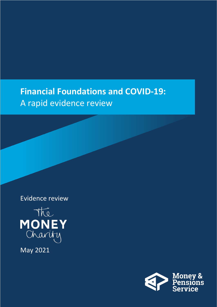### **Financial Foundations and COVID-19:**  A rapid evidence review

Evidence review



May 2021

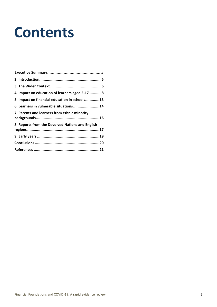# **Contents**

<span id="page-1-0"></span>

| 4. Impact on education of learners aged 5-17  8  |  |
|--------------------------------------------------|--|
| 5. Impact on financial education in schools13    |  |
| 6. Learners in vulnerable situations14           |  |
| 7. Parents and learners from ethnic minority     |  |
| 8. Reports from the Devolved Nations and English |  |
|                                                  |  |
|                                                  |  |
|                                                  |  |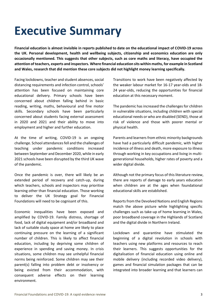### **Executive Summary**

**Financial education is almost invisible in reports published to date on the educational impact of COVID-19 across the UK. Personal development, health and wellbeing subjects, citizenship and economics education are only occasionally mentioned. This suggests that other subjects, such as core maths and literacy, have occupied the attention of teachers, experts and inspectors. Where financial education sits within maths, for example in Scotland and Wales, research that did mention these core subjects did not highlight money learning specifically.** 

Facing lockdowns, teacher and student absences, social distancing requirements and infection control, schools' attention has been focused on maintaining core educational delivery. Primary schools have been concerned about children falling behind in basic reading, writing, maths, behavioural and fine motor skills. Secondary schools have been particularly concerned about students facing external assessment in 2020 and 2021 and their ability to move into employment and higher and further education.

At the time of writing, COVID-19 is an ongoing challenge. School attendances fell and the challenges of teaching under pandemic conditions increased between September and December 2020, while in early 2021 schools have been disrupted by the third UK wave of the pandemic.

Once the pandemic is over, there will likely be an extended period of recovery and catch-up, during which teachers, schools and inspectors may prioritise learning other than financial education. Those working to deliver the UK Strategy goal for Financial Foundations will need to be cognisant of this.

Economic inequalities have been exposed and amplified by COVID-19. Family distress, shortage of food, lack of digital equipment and/or broadband and lack of suitable study space at home are likely to place continuing pressure on the learning of a significant number of children. This is likely to affect financial education, including by depriving some children of experience in spending and saving money. In crisis situations, some children may see unhelpful financial norms being reinforced. Some children may see their parent(s) falling into problem debt or insolvency or being evicted from their accommodation, with consequent adverse effects on their learning environment.

Transitions to work have been negatively affected by the weaker labour market for 16-17 year-olds and 18- 24 year-olds, reducing the opportunities for financial education at this necessary moment.

The pandemic has increased the challenges for children in vulnerable situations, including children with special educational needs or who are disabled (SEND), those at risk of violence and those with poorer mental or physical health.

Parents and learners from ethnic minority backgrounds have had a particularly difficult pandemic, with higher incidence of illness and death, more exposure to illness through working in key occupations and living in multigenerational households, higher rates of poverty and a wider digital divide.

Although not the primary focus of this literature review, there are reports of damage to early years education when children are at the ages when foundational educational skills are established.

Reports from the Devolved Nations and English Regions match the above picture while highlighting specific challenges such as take-up of home learning in Wales, poor broadband coverage in the Highlands of Scotland and the digital divide in Northern Ireland.

Lockdown and quarantine have stimulated the beginning of a digital revolution in schools with teachers using new platforms and resources to reach their learners. This suggests opportunities for the digitalisation of financial education using online and mobile delivery (including recorded video delivery), games and financial simulation packages that can be integrated into broader learning and that learners can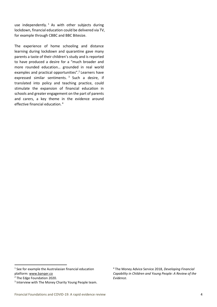use independently.<sup>1</sup> As with other subjects during lockdown, financial education could be delivered via TV, for example through CBBC and BBC Bitesize.

The experience of home schooling and distance learning during lockdown and quarantine gave many parents a taste of their children's study and is reported to have produced a desire for a "much broader and more rounded education… grounded in real world examples and practical opportunities".<sup>2</sup> Learners have expressed similar sentiments.<sup>3</sup> Such a desire, if translated into policy and teaching practice, could stimulate the expansion of financial education in schools and greater engagement on the part of parents and carers, a key theme in the evidence around effective financial education. 4

<sup>&</sup>lt;sup>1</sup> See for example the Australasian financial education platform: [www.banqer.co](http://www.banqer.co/)

<sup>2</sup> The Edge Foundation 2020.

<sup>&</sup>lt;sup>3</sup> Interview with The Money Charity Young People team.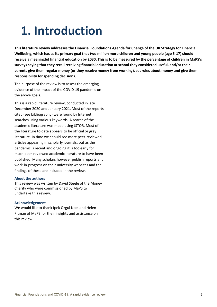### **1. Introduction**

**This literature review addresses the Financial Foundations Agenda for Change of the UK Strategy for Financial Wellbeing, which has as its primary goal that two million more children and young people (age 5-17) should receive a meaningful financial education by 2030. This is to be measured by the percentage of children in MaPS's surveys saying that they recall receiving financial education at school they considered useful, and/or their parents give them regular money (or they receive money from working), set rules about money and give them responsibility for spending decisions.**

The purpose of the review is to assess the emerging evidence of the impact of the COVID-19 pandemic on the above goals.

This is a rapid literature review, conducted in late December 2020 and January 2021. Most of the reports cited (see bibliography) were found by Internet searches using various keywords. A search of the academic literature was made using JSTOR. Most of the literature to date appears to be official or grey literature. In time we should see more peer-reviewed articles appearing in scholarly journals, but as the pandemic is recent and ongoing it is too early for much peer-reviewed academic literature to have been published. Many scholars however publish reports and work-in-progress on their university websites and the findings of these are included in the review.

#### **About the authors**

This review was written by David Steele of the Money Charity who were commissioned by MaPS to undertake this review.

#### **Acknowledgement**

We would like to thank Ipek Ozgul Noel and Helen Pitman of MaPS for their insights and assistance on this review.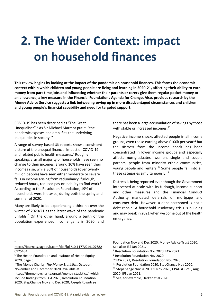# **2. The Wider Context: impact on household finances**

**This review begins by looking at the impact of the pandemic on household finances. This forms the economic context within which children and young people are living and learning in 2020-21, affecting their ability to earn money from part-time jobs and influencing whether their parents or carers give them regular pocket money or an allowance, a key measure in the Financial Foundations Agenda for Change. Also, previous research by the Money Advice Service suggests a link between growing up in more disadvantaged circumstances and children and young people's financial capability and need for targeted support.**

COVID-19 has been described as "The Great Unequaliser".<sup>5</sup> As Sir Michael Marmot put it, "the pandemic exposes and amplifies the underlying inequalities in society."<sup>6</sup>

A range of survey-based UK reports show a consistent picture of the unequal financial impact of COVID-19 and related public health measures.<sup>7</sup> Roughly speaking, a small majority of households have seen no change to their incomes, around 10% have seen their incomes rise, while 30% of households (over twenty million people) have seen either moderate or severe falls in income arising from redundancy, furlough, reduced hours, reduced pay or inability to find work.<sup>8</sup> According to the Resolution Foundation, 19% of households were hit twice, during both the spring and summer of 2020.

Many are likely to be experiencing a third hit over the winter of 2020/21 as the latest wave of the pandemic unfolds.<sup>9</sup> On the other hand, around a tenth of the population experienced income gains in 2020, and

there has been a large accumulation of savings by those with stable or increased incomes.<sup>10</sup>

Negative income shocks affected people in all income groups, even those earning above  $£100k$  per year<sup>11</sup> but the *distress* from the income shock has been concentrated in lower income groups and especially affects non-graduates, women, single and couple parents, people from minority ethnic communities, young people and renters.<sup>12</sup> Some people fall into all these categories simultaneously.<sup>13</sup>

Distress is being reported even though the Government intervened at scale with its furlough, income support and other measures and the Financial Conduct Authority mandated deferrals of mortgage and consumer debt. However, a debt postponed is not a debt repaid. A household insolvency crisis is building and may break in 2021 when we come out of the health emergency.

5

[https://journals.sagepub.com/doi/full/10.1177/014107682](https://journals.sagepub.com/doi/full/10.1177/0141076820925434) [0925434](https://journals.sagepub.com/doi/full/10.1177/0141076820925434)

Foundation Nov and Dec 2020, Money Advice Trust 2020. See also: IFS Jan 2021.

- <sup>8</sup> Resolution Foundation Nov 2020, FCA 2021.
- <sup>9</sup> Resolution Foundation Nov 2020.

<sup>&</sup>lt;sup>6</sup> The Health Foundation and Institute of Health Equity 2020, page 5.

<sup>7</sup> The Money Charity, *The Money Statistics*, October, November and December 2020, available at:

[https://themoneycharity.org.uk/money-statistics/,](https://themoneycharity.org.uk/money-statistics/) which include findings from FCA 2020, Resolution Foundation 2020, StepChange Nov and Dec 2020, Joseph Rowntree

<sup>&</sup>lt;sup>10</sup> FCA 2021, Resolution Foundation Nov 2020.

<sup>&</sup>lt;sup>11</sup> Resolution Foundation 2020, StepChange Nov 2020.

<sup>&</sup>lt;sup>12</sup> StepChange Nov 2020, JRF Nov 2020, CPAG & CofE, Aug 2020, IFS Jan 2021.

<sup>13</sup> See, for example, Harker et al 2020.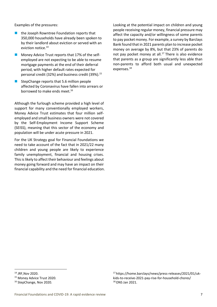Examples of the pressures:

- the Joseph Rowntree Foundation reports that 350,000 households have already been spoken to by their landlord about eviction or served with an eviction notice.<sup>14</sup>
- Money Advice Trust reports that 17% of the selfemployed are not expecting to be able to resume mortgage payments at the end of their deferral period, with higher default rates expected for personal credit (32%) and business credit (39%).<sup>15</sup>
- StepChange reports that 5.6 million people affected by Coronavirus have fallen into arrears or borrowed to make ends meet.<sup>16</sup>

Although the furlough scheme provided a high level of support for many conventionally employed workers, Money Advice Trust estimates that four million selfemployed and small business owners were not covered by the Self-Employment Income Support Scheme (SEISS), meaning that this sector of the economy and population will be under acute pressure in 2021.

For the UK Strategy goal for Financial Foundations we need to take account of the fact that in 2021/22 many children and young people are likely to experience family unemployment, financial and housing crises. This is likely to affect their behaviour and feelings about money going forward and may have an impact on their financial capability and the need for financial education. Looking at the potential impact on children and young people receiving regular money, financial pressure may affect the capacity and/or willingness of some parents to pay pocket money. For example, a survey by Barclays Bank found that in 2021 parents plan to increase pocket money on average by 8%, but that 23% of parents do not pay pocket money at all.<sup>17</sup> There is also evidence that parents as a group are significantly less able than non-parents to afford both usual and unexpected expenses.<sup>18</sup>

<sup>14</sup> JRF,Nov 2020.

<sup>&</sup>lt;sup>15</sup> Money Advice Trust 2020.

<sup>&</sup>lt;sup>16</sup> StepChange, Nov 2020.

<sup>17</sup> https://home.barclays/news/press-releases/2021/01/ukkids-to-receive-2021-pay-rise-for-household-chores/ <sup>18</sup> ONS Jan 2021.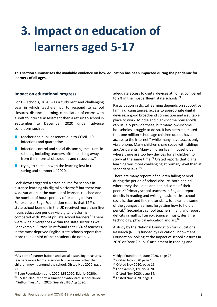### **3. Impact on education of learners aged 5-17**

**This section summarises the available evidence on how education has been impacted during the pandemic for learners of all ages.** 

#### **Impact on educational progress**

For UK schools, 2020 was a turbulent and challenging year in which teachers had to respond to school closures, distance learning, cancellation of exams with a shift to internal assessment then a return to school in September to December 2020 under adverse conditions such as:

- teacher and pupil absences due to COVID-19 infections and quarantine.
- infection control and social distancing measures in schools, including teachers often teaching away from their normal classrooms and resources.<sup>19</sup>
- $\blacksquare$  trying to catch up with the learning lost in the spring and summer of 2020.

Lock-down triggered a crash-course for schools in distance learning via digital platforms<sup>20</sup> but there was wide variation in the number of learners reached and the number of hours per day of teaching delivered. For example, Edge Foundation reports that 12% of state school learners in the UK received more than five hours education per day via digital platforms compared with 39% of private school learners.<sup>21</sup> There were wide divergences within the state sector as well. For example, Sutton Trust found that 15% of teachers in the most deprived English state schools report that more than a third of their students do not have

 $19$  As part of learner bubble and social distancing measures, teachers move from classroom to classroom rather than children moving around the school. Ofsted Nov 2020, page 21.

adequate access to digital devices at home, compared to 2% in the most affluent state schools.<sup>22</sup>

Participation in digital learning depends on supportive family circumstances, access to appropriate digital devices, a good broadband connection and a suitable place to work. Middle and high-income households can usually provide these, but many low-income households struggle to do so. It has been estimated that one million school age children do not have access to the Internet<sup>23</sup> while many have access only via a phone. Many children share space with siblings and/or parents. Many children live in households where there are too few devices for all children to study at the same time. $24$  Ofsted reports that digital learning was more challenging at primary level than at secondary level.<sup>25</sup>

There are many reports of children falling behind during the period of school closure, both behind where they should be and behind some of their peers.<sup>26</sup> Primary school teachers in England report deficits in reading and writing, basic maths, school socialisation and fine motor skills, for example some of the youngest learners forgetting how to hold a pencil.<sup>27</sup> Secondary school teachers in England report deficits in maths, literacy, science, music, design & technology, physical education and  $art.^{28}$ 

A study by the National Foundation for Educational Research (NFER) funded by Education Endowment Foundation looking at the impact of school closures in 2020 on Year 2 pupils' attainment in reading and

- $25$  Ofsted Nov 2020, page 19.
- <sup>26</sup> For example, Edurio 2020.

<sup>&</sup>lt;sup>20</sup> Edge Foundation, June 2020, LSE 2020, Edurio 2020b.

<sup>&</sup>lt;sup>21</sup> IFS Jan 2021 reports a similar private/state school divide. <sup>22</sup> Sutton Trust April 2020. See also IFS Aug 2020.

<sup>&</sup>lt;sup>23</sup> Edge Foundation, June 2020, page 23.

<sup>&</sup>lt;sup>24</sup> Ofsted Nov 2020 page 13.

<sup>&</sup>lt;sup>27</sup> Ofsted Nov 2020, page 14.

 $28$  Ofsted Nov 2020, page 15.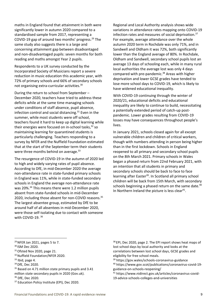maths in England found that attainment in both were significantly lower in autumn 2020 compared to a standardised sample from 2017, representing a COVID-19 gap of around two months' progress. $^{29}$  The same study also suggests there is a large and concerning attainment gap between disadvantaged and non-disadvantaged pupils: seven months for both reading and maths amongst Year 2 pupils.

Respondents to a UK survey conducted by the Incorporated Society of Musicians report a severe reduction in music education this academic year, with 72% of primary schools and 66% of secondary schools not organising extra-curricular activities.<sup>30</sup>

During the return to school from September – December 2020, teachers have tried to address these deficits while at the same time managing schools under conditions of staff absence, pupil absence, infection control and social distancing.<sup>31</sup> Even in the summer, while most students were off school, teachers found it hard to keep up digital learning while their energies were focused on in-school tasks, $32$  so maintaining learning for quarantined students is particularly challenging. Teachers responding to a survey by NFER and the Nuffield Foundation estimated that at the start of the September term their students were three months behind on average.<sup>33</sup>

The resurgence of COVID-19 in the autumn of 2020 led to high and widely varying rates of pupil absence. According to DfE, in mid-December 2020 the average non-attendance rate in state-funded primary schools in England was 11%, while in state-funded secondary schools in England the average non-attendance rate was 20%.<sup>34</sup> This means there were 1.2 million pupils absent from state-funded schools in mid-December 2020, including those absent for non-COVID reasons.<sup>35</sup> The largest absentee group, estimated by DfE to be around half of all absentees in mid-December 2020, were those self-isolating due to contact with someone with COVID-19. <sup>36</sup>

Regional and Local Authority analysis shows wide variations in attendance rates mapping onto COVID-19 infection rates and measures of social deprivation.<sup>37</sup> For example, average attendance over the whole autumn 2020 term in Rochdale was only 71%, and in Sandwell and Oldham it was 72%, both significantly lower than the England average of 80%. In Rochdale, Oldham and Sandwell, secondary school pupils lost an average 13 days of schooling each, while in many rural local authorities the average lost was only 4 days compared with pre-pandemic.<sup>38</sup> Areas with higher deprivation and lower GCSE grades have tended to lose more school days to COVID-19, which is likely to have widened educational inequality.

With COVID-19 continuing through the winter of 2020/21, educational deficits and educational inequality are likely to continue to build, necessitating a potentially extended period of catch-up postpandemic. Lower grades resulting from COVID-19 losses may have consequences throughout people's lives.

In January 2021, schools closed again for all except vulnerable children and children of critical workers, though with numbers attending in person being higher than in the first lockdown. Schools in England reopened to all primary and secondary school pupils on the 8th March 2021. Primary schools in Wales began a phased return from 22nd February 2021, with an intention that all students in primary and secondary schools should be back to face to face learning after Easter<sup>39</sup>. In Scotland all primary school children will be back from 15th March, with secondary schools beginning a phased return on the same date.<sup>40</sup> In Northern Ireland the picture is less clear $41$ .

- <sup>31</sup> Ofsted Nov 2020, page 21.
- <sup>32</sup> Nuffield Foundation/NFER 2020.
- $33$  Ibid, page 4.
- <sup>34</sup> DfE, Dec 2020.
- <sup>35</sup> Based on 4.71 million state primary pupils and 3.41 million state secondary pupils in 2020 (Gov.uk).

<sup>37</sup> Education Policy Institute (EPI), Dec 2020.

<sup>38</sup> EPI, Dec 2020, page 2. The EPI report shows heat maps of lost school days by local authority and looks at the correlations between lost school days, GCSE grades and eligibility for free school meals.

<sup>39</sup> https://gov.wales/schools-coronavirus-guidance

<sup>40</sup> https://www.gov.scot/publications/coronavirus-covid-19 guidance-on-schools-reopening/

<sup>41</sup> https://www.nidirect.gov.uk/articles/coronavirus-covid-19-advice-schools-colleges-and-universities

<sup>29</sup>NFER Jan 2021, pages 5 to 7.

<sup>30</sup> ISM Dec 2020.

<sup>36</sup> DfE, Dec 2020.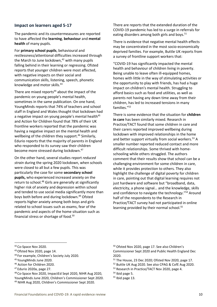#### **Impact on learners aged 5-17**

The pandemic and its countermeasures are reported to have affected the **learning**, **behaviour** and **mental health** of many pupils.

For **primary school pupils**, behavioural and restlessness/attentional difficulties increased through the March to June lockdown, $42$  with many pupils falling behind in their learning or regressing. Ofsted reports that younger children were most affected, with negative impacts on their social and communication skills, listening, speech, phonetic knowledge and motor skills.<sup>43</sup>

There are mixed reports<sup>44</sup> about the impact of the pandemic on young people's mental health, sometimes in the same publication. On one hand, YoungMinds reports that 74% of teachers and school staff in England and Wales thought that lockdown had a negative impact on young people's mental health<sup>45</sup> and Action for Children found that 78% of their UK frontline workers reported that the pandemic was having a negative impact on the mental health and wellbeing of the children they support.<sup>46</sup> Similarly, Edurio reports that the majority of parents in England who responded to its survey saw their children become more stressed during lockdown.<sup>47</sup>

On the other hand, several studies report *reduced strain* during the spring 2020 lockdown, when schools were closed to all but a few pupils. This was particularly the case for some **secondary school pupils,** who experienced increased anxiety on the return to school.<sup>48</sup> Girls are generally at significantly higher risk of anxiety and depression within school and tended to use social media significantly more than boys both before and during lockdown.<sup>49</sup> Ofsted reports higher anxiety among both boys and girls related to school issues such as exams, fear of the pandemic and aspects of the home situation such as financial stress or shortage of food.<sup>50</sup>

There are reports that the extended duration of the COVID-19 pandemic has led to a surge in referrals for eating disorders among both girls and boys.<sup>51</sup>

There is evidence that negative mental health effects may be concentrated in the most socio-economically deprived families. For example, Buttle UK reports from a survey of frontline support workers that:

"COVID-19 has significantly impacted the mental health and behaviour of children living in poverty. Being unable to leave often ill-equipped homes, homes with little in the way of stimulating activities or the opportunity to play with friends, has had a huge impact on children's mental health. Struggling to afford basics such as food and utilities, as well as parents not having any down time away from their children, has led to increased tensions in many families."<sup>52</sup>

There is some evidence that the situation for **children in care** has been similarly mixed. Research in Practice/TACT found that some children in care and their carers reported improved wellbeing during lockdown with improved relationships in the home and better support virtually from social workers.<sup>53</sup> A smaller number reported reduced contact and more difficult relationships. Some thrived with homeschooling while others struggled. The authors comment that their results show that school can be a challenging environment for some children in care, while it provides protection to others. They also highlight the challenge of digital poverty for children in care, pointing out that digital learning requires not just hardware and software but "broadband, data, electricity, a phone signal… and the knowledge, skills and confidence to navigate the technology."<sup>54</sup> Around half of the respondents to the Research in Practice/TACT survey had not participated in online learning provided by their normal school.<sup>55</sup>

- 43 Ofsted Nov 2020, page 14.
- <sup>44</sup> For example, Children's Society July 2020.

- <sup>46</sup> Action for Children 2020.
- <sup>47</sup> Edurio 2020a, page 27.

<sup>48</sup> Co-Space Nov 2020, ImpactEd Sept 2020, NIHR Aug 2020, YoungMinds June 2020, Children's Commissioner Sept 2020. <sup>49</sup> NIHR Aug 2020, Children's Commissioner Sept 2020.

<sup>50</sup> Ofsted Nov 2020, page 17. See also Children's Commissioner Sept 2020 and Public Health England Dec 2020.

- <sup>51</sup> The House, 23 Dec 2020; Ofsted Nov 2020, page 17.
- <sup>52</sup> Buttle UK Aug 2020. See also CPAG & CofE Aug 2020.
- 53 Research in Practice/TACT Nov 2020, page 4.
- <sup>54</sup> Ibid page 5.

<sup>42</sup> Co-Space Nov 2020.

<sup>45</sup> YoungMinds June 2020.

 $55$  Ibid page 13.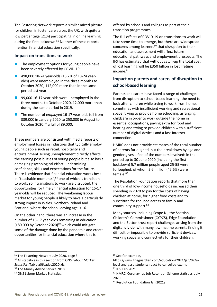The Fostering Network reports a similar mixed picture for children in foster care across the UK, with quite a low percentage (21%) participating in online learning during the first lockdown.<sup>56</sup> Neither of these reports mention financial education specifically.

#### **Impact on transitions to work**

- $\blacksquare$  The employment options for young people have been severely affected by COVID-19:
- 498,000 18-24 year-olds (13.2% of 18-24 yearolds) were unemployed in the three months to October 2020, 112,000 more than in the same period last year.
- 99,000 16-17 year-olds were unemployed in the three months to October 2020, 12,000 more than during the same period in 2019.
- The number of *employed* 16-17 year-olds fell from 339,000 in January 2020 to 250,000 in August to October 2020,<sup>57</sup> a fall of 89,000.

These numbers are consistent with media reports of employment losses in industries that typically employ young people such as retail, hospitality and entertainment. Rising unemployment directly affects the earning possibilities of young people but also has a damaging psychological effect, undermining confidence, skills and expectations for the future. There is evidence that financial education works best in "teachable moments",<sup>58</sup> one of which is transition to work, so if transitions to work are disrupted, the opportunities for timely financial education for 16-17 year-olds will be reduced. The weakening labour market for young people is likely to have a particularly strong impact in Wales, Northern Ireland and Scotland, where the school leaving age is 16.

On the other hand, there was an increase in the number of 16-17 year-olds remaining in education  $(+80,000$  by October 2020)<sup>59</sup> which could mitigate some of the damage done by the pandemic and create opportunities for financial education where this is

offered by schools and colleges as part of their transition programmes.

The full effects of COVID-19 on transitions to work will take some time to emerge, but there are widespread concerns among learners<sup>60</sup> that disruption to their education and assessment will affect future educational pathways and employment prospects. The IFS has estimated that without catch-up the total cost of lost learning will be £350 billion in lost lifetime income.<sup>61</sup>

#### **Impact on parents and carers of disruption to school-based learning**

Parents and carers have faced a range of challenges from disruption to school-based learning: the need to look after children while trying to work from home, sometimes with insufficient working and recreational space, trying to provide home schooling, arranging childcare in order to work outside the home in essential occupations, paying extra for food and heating and trying to provide children with a sufficient number of digital devices and a fast Internet connection.

HMRC does not provide estimates of the total number of parents furloughed, but the breakdown by age and gender gives a feel of the numbers involved: in the period up to 30 June 2020 (including the first lockdown) 5.7 million people aged 25-55 were furloughed, of whom 2.6 million (45.6%) were  $f$ emale. $62$ 

The Resolution Foundation reports that more than one third of low-income households increased their spending in 2020 to pay for the costs of having children at home, for higher food costs and to substitute for reduced access to family and community support.<sup>63</sup>

Many sources, including Scope NI, the Scottish Children's Commissioner (CYPCS), Edge Foundation and the Sutton trust report challenges arising from the **digital divide**, with many low-income parents finding it difficult or impossible to provide sufficient devices, working space and connectivity for their children.

<sup>&</sup>lt;sup>56</sup> The Fostering Network July 2020, page 3.

<sup>57</sup> All statistics in this section from ONS *Labour Market Statistics*, Table a06sadec2020.xls.

<sup>&</sup>lt;sup>58</sup> The Money Advice Service 2018.

<sup>59</sup> ONS Labour Market Statistics.

<sup>&</sup>lt;sup>60</sup> See for example,

https://www.theguardian.com/education/2021/jan/07/alevel-and-gcse-students-react-to-cancelled-exams <sup>61</sup> IFS, Feb 2021.

<sup>62</sup> HMRC, Coronavirus Job Retention Scheme statistics, July 2020.

<sup>63</sup> Resolution Foundation Jan 2021a.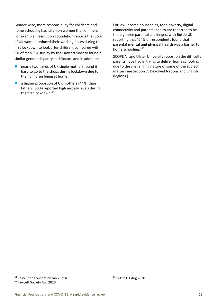Gender-wise, more responsibility for childcare and home schooling has fallen on women than on men. For example, Resolution Foundation reports that 16% of UK women reduced their working hours during the first lockdown to look after children, compared with 9% of men.<sup>64</sup> A survey by the Fawcett Society found a similar gender disparity in childcare and in addition:

- $\blacksquare$  nearly two thirds of UK single mothers found it hard to go to the shops during lockdown due to their children being at home.
- a higher proportion of UK mothers (44%) than fathers (33%) reported high anxiety levels during the first lockdown.<sup>65</sup>

For low-income households, food poverty, digital connectivity and parental health are reported to be the big three parental challenges, with Buttle UK reporting that "24% of respondents found that **parental mental and physical health** was a barrier to home schooling."<sup>66</sup>

SCOPE NI and Ulster University report on the difficulty parents have had in trying to deliver home schooling due to the challenging nature of some of the subject matter (see Section 7: Devolved Nations and English Regions.)

<sup>&</sup>lt;sup>64</sup> Resolution Foundation Jan 2021b.

<sup>&</sup>lt;sup>65</sup> Fawcett Society Aug 2020.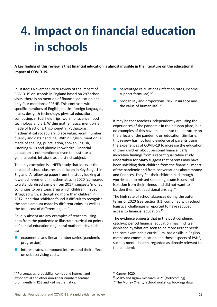# **4. Impact on financial education in schools**

**A key finding of this review is that financial education is almost invisible in the literature on the educational impact of COVID-19.**

In Ofsted's November 2020 review of the impact of COVID-19 on schools in England based on 297 school visits, there is no mention of financial education and only four mentions of PSHE. This contrasts with specific mentions of English, maths, foreign languages, music, design & technology, physical education, computing, virtual field trips, worship, science, food technology and art. Within mathematics, mention is made of fractions, trigonometry, Pythagoras, mathematical vocabulary, place value, recall, number fluency and data handling. Within English, mention is made of spelling, punctuation, spoken English, listening skills and phonic knowledge. Financial education is not mentioned even to illustrate a general point, let alone as a distinct subject.

The only exception is a NFER study that looks at the impact of school closures on children in Key Stage 1 in England. A follow up paper from the study looking at lower achievement in mathematics in 2020 (compared to a standardised sample from 2017) suggests 'money continues to be a topic area which children in 2020 struggled with, although no more than children in 2017', and that 'children found it difficult to recognise the same amount made by different coins, as well as the total cost of different objects'.

Equally absent are any examples of teachers using data from the pandemic to illustrate curriculum points in financial education or general mathematics, such as:

- $\blacksquare$  exponential and linear number series (pandemic progression).
- $\blacksquare$  interest rates, compound interest and their effect on debt servicing costs.
- percentage calculations (infection rates, income support formulae).<sup>67</sup>
- $\blacksquare$  probability and proportions (risk, insurance and the value of human life).<sup>68</sup>

It may be that teachers independently are using the experiences of the pandemic in their lesson plans, but no examples of this have made it into the literature on the effects of the pandemic on education. Similarly, this review has not found evidence of parents using the experiences of COVID-19 to increase the education of their children about personal finance. Early indicative findings from a recent qualitative study undertaken for MaPS suggest that parents may have been shielding their children from the financial impact of the pandemic and from conversations about money and finances. They felt their children had enough worries due to missed schooling, exam issues and isolation from their friends and did not want to burden them with additional anxiety.<sup>69</sup>

The high rate of school absences during the autumn terms of 2020 (see section 3.1) combined with school logistical challenges is reported to have reduced access to financial education.<sup>70</sup>

The evidence suggests that in the post-pandemic catch-up period financial education may find itself displaced by what are seen to be more urgent needs: the core examinable curriculum, basic skills in English, maths and communication and those aspects of PSHE, such as mental health, regarded as directly relevant to the pandemic.

<sup>&</sup>lt;sup>67</sup> Percentages, probability, compound interest and exponential and other non-linear numbers feature prominently in KS3 and KS4 mathematics.

<sup>68</sup> Carney 2020.

<sup>&</sup>lt;sup>69</sup> MaPS and Jigsaw Research 2021 (forthcoming).

<sup>&</sup>lt;sup>70</sup> The Money Charity, school workshop bookings data.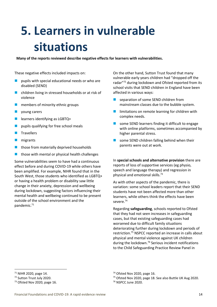# **5. Learners in vulnerable situations**

**Many of the reports reviewed describe negative effects for learners with vulnerabilities.**

These negative effects included impacts on:

- pupils with special educational needs or who are disabled (SEND)
- children living in stressed households or at risk of violence
- members of minority ethnic groups
- young carers
- learners identifying as LGBTQ+
- pupils qualifying for free school meals
- **Travellers**
- migrants
- $\blacksquare$  those from materially deprived households
- $\blacksquare$  those with mental or physical health challenges

Some vulnerabilities seem to have had a continuous effect before and during COVID-19 while others have been amplified. For example, NIHR found that in the South West, those students who identified as LGBTQ+ or having a health problem or disability saw little change in their anxiety, depression and wellbeing during lockdown, suggesting factors influencing their mental health and wellbeing continued to be present outside of the school environment and the pandemic.<sup>71</sup>

On the other hand, Sutton Trust found that many vulnerable early years children had "dropped off the radar"<sup>72</sup> during lockdown and Ofsted reported from its school visits that SEND children in England have been affected in various ways:

- separation of some SEND children from mainstream classes due to the bubble system.
- limitations on remote learning for children with complex needs.
- $\blacksquare$  some SEND learners finding it difficult to engage with online platforms, sometimes accompanied by higher parental stress.
- some SEND children falling behind when their parents were out at work.

In **special schools and alternative provision** there are reports of loss of supportive services (eg physio, speech and language therapy) and regression in physical and emotional skills.<sup>73</sup>

As with other aspects of the pandemic, there is variation: some school leaders report that their SEND students have not been affected more than other learners, while others think the effects have been severe.<sup>74</sup>

Regarding **safeguarding**, schools reported to Ofsted that they had not seen increases in safeguarding cases, but that existing safeguarding cases had worsened due to difficult family situations deteriorating further during lockdown and periods of restriction.<sup>75</sup> NSPCC reported an increase in calls about physical and mental violence against UK children during the lockdown.<sup>76</sup> Serious incident notifications to the Child Safeguarding Practice Review Panel in

<sup>75</sup> Ofsted Nov 2020, page 18. See also Buttle UK Aug 2020.

<sup>71</sup> NIHR 2020, page 14.

<sup>72</sup> Sutton Trust July 2020.

<sup>&</sup>lt;sup>73</sup> Ofsted Nov 2020, page 16.

<sup>74</sup> Ofsted Nov 2020, page 16.

<sup>76</sup> NSPCC June 2020.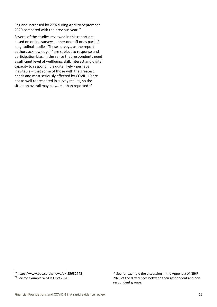England increased by 27% during April to September 2020 compared with the previous year.<sup>77</sup>

Several of the studies reviewed in this report are based on online surveys, either one-off or as part of longitudinal studies. These surveys, as the report authors acknowledge, $78$  are subject to response and participation bias, in the sense that respondents need a sufficient level of wellbeing, skill, interest and digital capacity to respond. It is quite likely - perhaps inevitable – that some of those with the greatest needs and most seriously affected by COVID-19 are not as well represented in survey results, so the situation overall may be worse than reported. $79$ 

<sup>77</sup> <https://www.bbc.co.uk/news/uk-55682745>

<sup>78</sup> See for example WiSERD Oct 2020.

<sup>&</sup>lt;sup>79</sup> See for example the discussion in the Appendix of NIHR 2020 of the differences between their respondent and nonrespondent groups.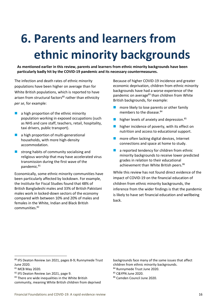# **6. Parents and learners from ethnic minority backgrounds**

**As mentioned earlier in this review, parents and learners from ethnic minority backgrounds have been particularly badly hit by the COVID-19 pandemic and its necessary countermeasures.**

The infection and death rates of ethnic minority populations have been higher on average than for White British populations, which is reported to have arisen from structural factors<sup>80</sup> rather than ethnicity *per se*, for example:

- $\blacksquare$  a high proportion of the ethnic minority population working in exposed occupations (such as NHS and care staff, teachers, retail, hospitality, taxi drivers, public transport).
- a high proportion of multi-generational households, with more high-density accommodation.
- strong habits of community socialising and religious worship that may have accelerated virus transmission during the first wave of the pandemic.<sup>81</sup>

Economically, some ethnic minority communities have been particularly affected by lockdown. For example, the Institute for Fiscal Studies found that 48% of British Bangladeshi males and 33% of British Pakistani males work in locked-down sectors of the economy compared with between 10% and 20% of males and females in the White, Indian and Black British communities.<sup>82</sup>

Because of higher COVID-19 incidence and greater economic deprivation, children from ethnic minority backgrounds have had a worse experience of the pandemic on average<sup>83</sup> than children from White British backgrounds, for example:

- more likely to lose parents or other family members to the disease.<sup>84</sup>
- $\blacksquare$  higher levels of anxiety and depression.<sup>85</sup>
- $\blacksquare$  higher incidence of poverty, with its effect on nutrition and access to educational support.
- more often lacking digital devices, Internet connections and space at home to study.
- $\blacksquare$  a reported tendency for children from ethnic minority backgrounds to receive lower predicted grades in relation to their educational achievement than White British peers.<sup>86</sup>

While this review has not found direct evidence of the impact of COVID-19 on the financial education of children from ethnic minority backgrounds, the inference from the wider findings is that the pandemic is likely to have set financial education and wellbeing back.

backgrounds face many of the same issues that affect children from ethnic minority backgrounds.

<sup>85</sup> C&YPN June 2020.

<sup>86</sup> Camden Council June 2020.

<sup>80</sup> IFS Deaton Review Jan 2021, pages 8-9; Runnymede Trust June 2020.

<sup>81</sup> MCB May 2020.

<sup>82</sup> IFS Deaton Review Jan 2021, page 9.

<sup>83</sup> There are wide inequalities in the White British community, meaning White British children from deprived

<sup>84</sup> Runnymede Trust June 2020.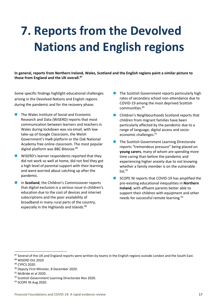# **7. Reports from the Devolved Nations and English regions**

**In general, reports from Northern Ireland, Wales, Scotland and the English regions paint a similar picture to those from England and the UK overall.<sup>87</sup>**

Some specific findings highlight educational challenges arising in the Devolved Nations and English regions during the pandemic and for the recovery phase:

- The Wales Institute of Social and Economic Research and Data (WiSERD) reports that most communication between learners and teachers in Wales during lockdown was via email, with low take-up of Google Classroom, the Welsh Government's HwB platform or the Oak National Academy free online classroom. The most popular digital platform was BBC Bitesize.<sup>88</sup>
- WiSERD's learner respondents reported that they did not work so well at home, did not feel they got a high level of parental support with their learning and were worried about catching up after the pandemic.
- In **Scotland**, the Children's Commissioner reports that digital exclusion is a serious issue in children's education due to the cost of devices and internet subscriptions and the poor availability of broadband in many rural parts of the country, especially in the Highlands and Islands.<sup>89</sup>
- The Scottish Government reports particularly high rates of secondary school non-attendance due to COVID-19 among the most deprived Scottish communities.<sup>90</sup>
- Children's Neighbourhoods Scotland reports that children from migrant families have been particularly affected by the pandemic due to a range of language, digital access and socioeconomic challenges.<sup>91</sup>
- The Scottish Government Learning Directorate reports "tremendous pressure" being placed on **young carers**, many of whom are spending more time caring than before the pandemic and experiencing higher anxiety due to not knowing whether a family member is on the vulnerable  $list.<sup>92</sup>$
- SCOPE NI reports that COVID-19 has amplified the pre-existing educational inequalities in **Northern Ireland**, with affluent parents better able to support their children with equipment and other needs for successful remote learning.<sup>93</sup>

<sup>87</sup> Several of the UK and England reports were written by teams in the English regions outside London and the South East. <sup>88</sup> WiSERD Oct 2020.

<sup>89</sup> CYPCS 2020.

<sup>90</sup> Deputy First Minister, 8 December 2020.

<sup>&</sup>lt;sup>91</sup> McBride et al 2020.

<sup>92</sup> Scottish Government Learning Directorate Nov 2020.

<sup>93</sup> SCOPE NI Aug 2020.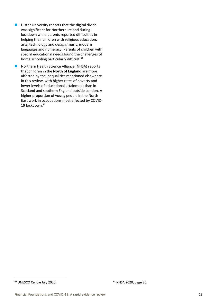- Ulster University reports that the digital divide was significant for Northern Ireland during lockdown while parents reported difficulties in helping their children with religious education, arts, technology and design, music, modern languages and numeracy. Parents of children with special educational needs found the challenges of home schooling particularly difficult.<sup>94</sup>
- Northern Health Science Alliance (NHSA) reports that children in the **North of England** are more affected by the inequalities mentioned elsewhere in this review, with higher rates of poverty and lower levels of educational attainment than in Scotland and southern England outside London. A higher proportion of young people in the North East work in occupations most affected by COVID-19 lockdown.<sup>95</sup>

 $94$  UNESCO Centre July 2020.  $95$  NHSA 2020, page 30.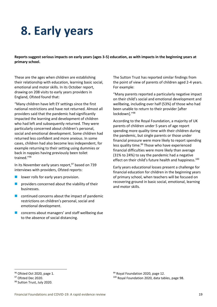### **8. Early years**

**Reports suggest serious impacts on early years (ages 3-5) education, as with impacts in the beginning years at primary school.**

These are the ages when children are establishing their relationship with education, learning basic social, emotional and motor skills. In its October report, drawing on 208 visits to early years providers in England, Ofsted found that:

"Many children have left EY settings since the first national restrictions and have not returned. Almost all providers said that the pandemic had significantly impacted the learning and development of children who had left and subsequently returned. They were particularly concerned about children's personal, social and emotional development. Some children had returned less confident and more anxious. In some cases, children had also become less independent, for example returning to their setting using dummies or back in nappies having previously been toilet trained."<sup>96</sup>

In its November early years report, $97$  based on 739 interviews with providers, Ofsted reports:

- lower rolls for early years provision.
- $\blacksquare$  providers concerned about the viability of their businesses.
- $\blacksquare$  continued concerns about the impact of pandemic restrictions on children's personal, social and emotional development.
- concerns about managers' and staff wellbeing due to the absence of social distancing.

The Sutton Trust has reported similar findings from the point of view of parents of children aged 2-4 years. For example:

"Many parents reported a particularly negative impact on their child's social and emotional development and wellbeing, including over half (53%) of those who had been unable to return to their provider [after lockdown]."<sup>98</sup>

According to the Royal Foundation, a majority of UK parents of children under 5 years of age report spending more quality time with their children during the pandemic, but single parents or those under financial pressure were more likely to report spending less quality time.<sup>99</sup> Those who have experienced financial difficulties were more likely than average (31% to 24%) to say the pandemic had a negative effect on their child's future health and happiness.<sup>100</sup>

Early years educational losses present a challenge for financial education for children in the beginning years of primary school, when teachers will be focused on recovering ground in basic social, emotional, learning and motor skills.

<sup>96</sup> Ofsted Oct 2020, page 1.

<sup>97</sup> Ofsted Dec 2020.

<sup>98</sup> Sutton Trust, July 2020.

<sup>99</sup> Royal Foundation 2020, page 12.

<sup>&</sup>lt;sup>100</sup> Royal Foundation 2020, data tables, page 98.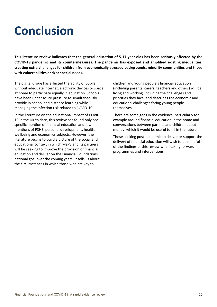### **Conclusion**

**This literature review indicates that the general education of 5-17 year-olds has been seriously affected by the COVID-19 pandemic and its countermeasures. The pandemic has exposed and amplified existing inequalities, creating extra challenges for children from economically stressed backgrounds, minority communities and those with vulnerabilities and/or special needs.** 

The digital divide has affected the ability of pupils without adequate internet, electronic devices or space at home to participate equally in education. Schools have been under acute pressure to simultaneously provide in-school and distance learning while managing the infection risk related to COVID-19.

In the literature on the educational impact of COVID-19 in the UK to date, this review has found only one specific mention of financial education and few mentions of PSHE, personal development, health, wellbeing and economics subjects. However, the literature begins to build a picture of the social and educational context in which MaPS and its partners will be seeking to improve the provision of financial education and deliver on the Financial Foundations national goal over the coming years. It tells us about the circumstances in which those who are key to

children and young people's financial education (including parents, carers, teachers and others) will be living and working, including the challenges and priorities they face, and describes the economic and educational challenges facing young people themselves.

There are some gaps in the evidence, particularly for example around financial education in the home and conversations between parents and children about money, which it would be useful to fill in the future.

Those seeking post-pandemic to deliver or support the delivery of financial education will wish to be mindful of the findings of this review when taking forward programmes and interventions.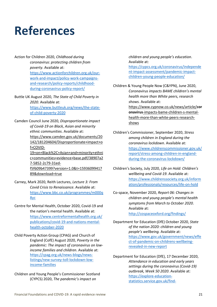### **References**

- Action for Children 2020, *Childhood during coronavirus: protecting children from poverty*. Available at: [https://www.actionforchildren.org.uk/our](https://www.actionforchildren.org.uk/our-work-and-impact/policy-work-campaigns-and-research/policy-reports/childhood-during-coronavirus-policy-report/)[work-and-impact/policy-work-campaigns](https://www.actionforchildren.org.uk/our-work-and-impact/policy-work-campaigns-and-research/policy-reports/childhood-during-coronavirus-policy-report/)[and-research/policy-reports/childhood](https://www.actionforchildren.org.uk/our-work-and-impact/policy-work-campaigns-and-research/policy-reports/childhood-during-coronavirus-policy-report/)[during-coronavirus-policy-report/](https://www.actionforchildren.org.uk/our-work-and-impact/policy-work-campaigns-and-research/policy-reports/childhood-during-coronavirus-policy-report/)
- Buttle UK August 2020, *The State of Child Poverty in 2020*. Available at: [https://www.buttleuk.org/news/the-state](https://www.buttleuk.org/news/the-state-of-child-poverty-2020)[of-child-poverty-2020](https://www.buttleuk.org/news/the-state-of-child-poverty-2020)
- Camden Council June 2020, *Disproportionate impact of Covid-19 on Black, Asian and minority ethnic communities*. Available at: [https://www.camden.gov.uk/documents/20](https://www.camden.gov.uk/documents/20142/181204604/Disproportionate+impact+of+COVID-19+on+Black%2C+Asian+and+minority+ethnic+communities+evidence+base.pdf/38907a27-5852-2c79-31ed-f5f609b47399?version=1.0&t=1593609941789&download=true) [142/181204604/Disproportionate+impact+o](https://www.camden.gov.uk/documents/20142/181204604/Disproportionate+impact+of+COVID-19+on+Black%2C+Asian+and+minority+ethnic+communities+evidence+base.pdf/38907a27-5852-2c79-31ed-f5f609b47399?version=1.0&t=1593609941789&download=true) [f+COVID-](https://www.camden.gov.uk/documents/20142/181204604/Disproportionate+impact+of+COVID-19+on+Black%2C+Asian+and+minority+ethnic+communities+evidence+base.pdf/38907a27-5852-2c79-31ed-f5f609b47399?version=1.0&t=1593609941789&download=true)[19+on+Black%2C+Asian+and+minority+ethni](https://www.camden.gov.uk/documents/20142/181204604/Disproportionate+impact+of+COVID-19+on+Black%2C+Asian+and+minority+ethnic+communities+evidence+base.pdf/38907a27-5852-2c79-31ed-f5f609b47399?version=1.0&t=1593609941789&download=true) [c+communities+evidence+base.pdf/38907a2](https://www.camden.gov.uk/documents/20142/181204604/Disproportionate+impact+of+COVID-19+on+Black%2C+Asian+and+minority+ethnic+communities+evidence+base.pdf/38907a27-5852-2c79-31ed-f5f609b47399?version=1.0&t=1593609941789&download=true) [7-5852-2c79-31ed](https://www.camden.gov.uk/documents/20142/181204604/Disproportionate+impact+of+COVID-19+on+Black%2C+Asian+and+minority+ethnic+communities+evidence+base.pdf/38907a27-5852-2c79-31ed-f5f609b47399?version=1.0&t=1593609941789&download=true)[f5f609b47399?version=1.0&t=15936099417](https://www.camden.gov.uk/documents/20142/181204604/Disproportionate+impact+of+COVID-19+on+Black%2C+Asian+and+minority+ethnic+communities+evidence+base.pdf/38907a27-5852-2c79-31ed-f5f609b47399?version=1.0&t=1593609941789&download=true) [89&download=true](https://www.camden.gov.uk/documents/20142/181204604/Disproportionate+impact+of+COVID-19+on+Black%2C+Asian+and+minority+ethnic+communities+evidence+base.pdf/38907a27-5852-2c79-31ed-f5f609b47399?version=1.0&t=1593609941789&download=true)
- Carney, Mark 2020, Reith Lectures, *Lecture 3: From Covid Crisis to Renaissance*. Available at: [https://www.bbc.co.uk/programmes/m000q](https://www.bbc.co.uk/programmes/m000q8yc) [8yc](https://www.bbc.co.uk/programmes/m000q8yc)
- Centre for Mental Health, October 2020, Covid-19 and the nation's mental health. Available at: [https://www.centreformentalhealth.org.uk/](https://www.centreformentalhealth.org.uk/publications/covid-19-and-nations-mental-health-october-2020) [publications/covid-19-and-nations-mental](https://www.centreformentalhealth.org.uk/publications/covid-19-and-nations-mental-health-october-2020)[health-october-2020](https://www.centreformentalhealth.org.uk/publications/covid-19-and-nations-mental-health-october-2020)
- Child Poverty Action Group (CPAG) and Church of England (CofE) August 2020, *Poverty in the pandemic: The impact of coronavirus on lowincome families and children*. Available at: [https://cpag.org.uk/news-blogs/news](https://cpag.org.uk/news-blogs/news-listings/new-survey-toll-lockdown-low-income-families)[listings/new-survey-toll-lockdown-low](https://cpag.org.uk/news-blogs/news-listings/new-survey-toll-lockdown-low-income-families)[income-families](https://cpag.org.uk/news-blogs/news-listings/new-survey-toll-lockdown-low-income-families)

Children and Young People's Commissioner Scotland (CYPCS) 2020, *The pandemic's impact on* 

*children and young people's education*. Available at: [https://cypcs.org.uk/coronavirus/independe](https://cypcs.org.uk/coronavirus/independent-impact-assessment/pandemic-impact-children-young-people-education/) [nt-impact-assessment/pandemic-impact](https://cypcs.org.uk/coronavirus/independent-impact-assessment/pandemic-impact-children-young-people-education/)[children-young-people-education/](https://cypcs.org.uk/coronavirus/independent-impact-assessment/pandemic-impact-children-young-people-education/)

Children & Young People Now (C&YPN), June 2020, *Coronavirus impacts BAME children's mental health more than White peers, research shows.* Available at: [https://www.cypnow.co.uk/news/article/](https://www.cypnow.co.uk/news/article/coronavirus-impacts-bame-children-s-mental-health-more-than-white-peers-research-shows)**cor onavirus**[-impacts-bame-children-s-mental](https://www.cypnow.co.uk/news/article/coronavirus-impacts-bame-children-s-mental-health-more-than-white-peers-research-shows)[health-more-than-white-peers-research](https://www.cypnow.co.uk/news/article/coronavirus-impacts-bame-children-s-mental-health-more-than-white-peers-research-shows)[shows](https://www.cypnow.co.uk/news/article/coronavirus-impacts-bame-children-s-mental-health-more-than-white-peers-research-shows)

- Children's Commissioner, September 2020, *Stress among children in England during the coronavirus lockdown*. Available at: [https://www.childrenscommissioner.gov.uk/](https://www.childrenscommissioner.gov.uk/report/stress-among-children-in-england-during-the-coronavirus-lockdown/) [report/stress-among-children-in-england](https://www.childrenscommissioner.gov.uk/report/stress-among-children-in-england-during-the-coronavirus-lockdown/)[during-the-coronavirus-lockdown/](https://www.childrenscommissioner.gov.uk/report/stress-among-children-in-england-during-the-coronavirus-lockdown/)
- Children's Society, July 2020, *Life on Hold: Children's wellbeing and Covid-19*. Available at: [https://www.childrenssociety.org.uk/inform](https://www.childrenssociety.org.uk/information/professionals/resources/life-on-hold) [ation/professionals/resources/life-on-hold](https://www.childrenssociety.org.uk/information/professionals/resources/life-on-hold)
- Co-space, November 2020, *Report 06: Changes in children and young people's mental health symptoms from March to October 2020*. Available at:

<http://cospaceoxford.org/findings/>

Department for Education (DfE) October 2020, *State of the nation 2020: children and young people's wellbeing.* Available at: [https://www.gov.uk/government/news/effe](https://www.gov.uk/government/news/effect-of-pandemic-on-childrens-wellbeing-revealed-in-new-report) [ct-of-pandemic-on-childrens-wellbeing](https://www.gov.uk/government/news/effect-of-pandemic-on-childrens-wellbeing-revealed-in-new-report)[revealed-in-new-report](https://www.gov.uk/government/news/effect-of-pandemic-on-childrens-wellbeing-revealed-in-new-report)

Department for Education (DfE), 17 December 2020, *Attendance in education and early years settings during the coronavirus (Covid-19) outbreak, Week 50 2020*. Available at: [https://explore-education](https://explore-education-statistics.service.gov.uk/find-statistics/attendance-in-education-and-early-years-settings-during-the-coronavirus-covid-19-outbreak/2020-week-50)[statistics.service.gov.uk/find-](https://explore-education-statistics.service.gov.uk/find-statistics/attendance-in-education-and-early-years-settings-during-the-coronavirus-covid-19-outbreak/2020-week-50)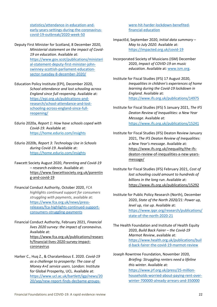[statistics/attendance-in-education-and](https://explore-education-statistics.service.gov.uk/find-statistics/attendance-in-education-and-early-years-settings-during-the-coronavirus-covid-19-outbreak/2020-week-50)[early-years-settings-during-the-coronavirus](https://explore-education-statistics.service.gov.uk/find-statistics/attendance-in-education-and-early-years-settings-during-the-coronavirus-covid-19-outbreak/2020-week-50)[covid-19-outbreak/2020-week-50](https://explore-education-statistics.service.gov.uk/find-statistics/attendance-in-education-and-early-years-settings-during-the-coronavirus-covid-19-outbreak/2020-week-50)

- Deputy First Minister for Scotland, 8 December 2020, *Ministerial statement on the impact of Covid-19 on education*. Available at: [https://www.gov.scot/publications/ministeri](https://www.gov.scot/publications/ministerial-statement-deputy-first-minister-john-swinney-scottish-parliament-education-sector-tuesday-8-december-2020/) [al-statement-deputy-first-minister-john](https://www.gov.scot/publications/ministerial-statement-deputy-first-minister-john-swinney-scottish-parliament-education-sector-tuesday-8-december-2020/)[swinney-scottish-parliament-education](https://www.gov.scot/publications/ministerial-statement-deputy-first-minister-john-swinney-scottish-parliament-education-sector-tuesday-8-december-2020/)[sector-tuesday-8-december-2020/](https://www.gov.scot/publications/ministerial-statement-deputy-first-minister-john-swinney-scottish-parliament-education-sector-tuesday-8-december-2020/)
- Education Policy Institute (EPI), December 2020, *School attendance and lost schooling across England since full reopening*. Available at: [https://epi.org.uk/publications-and](https://epi.org.uk/publications-and-research/school-attendance-and-lost-schooling-across-england-since-full-reopening/)[research/school-attendance-and-lost](https://epi.org.uk/publications-and-research/school-attendance-and-lost-schooling-across-england-since-full-reopening/)[schooling-across-england-since-full](https://epi.org.uk/publications-and-research/school-attendance-and-lost-schooling-across-england-since-full-reopening/)[reopening/](https://epi.org.uk/publications-and-research/school-attendance-and-lost-schooling-across-england-since-full-reopening/)
- Edurio 2020a, *Report 1: How have schools coped with Covid-19*. Available at: <https://home.edurio.com/insights>
- Edurio 2020b, *Report 3: Technology Use in Schools during Covid-19*. Available at: <https://home.edurio.com/insights>
- Fawcett Society August 2020, *Parenting and Covid-19 – research evidence*. Available at: [https://www.fawcettsociety.org.uk/parentin](https://www.fawcettsociety.org.uk/parenting-and-covid-19) [g-and-covid-19](https://www.fawcettsociety.org.uk/parenting-and-covid-19)
- Financial Conduct Authority, October 2020, *FCA highlights continued support for consumers struggling with payments*, available at: [https://www.fca.org.uk/news/press](https://www.fca.org.uk/news/press-releases/fca-highlights-continued-support-consumers-struggling-payments)[releases/fca-highlights-continued-support](https://www.fca.org.uk/news/press-releases/fca-highlights-continued-support-consumers-struggling-payments)[consumers-struggling-payments](https://www.fca.org.uk/news/press-releases/fca-highlights-continued-support-consumers-struggling-payments)
- Financial Conduct Authority, February 2021, *Financial lives 2020 survey: the impact of coronavirus*. Available at: [https://www.fca.org.uk/publications/researc](https://www.fca.org.uk/publications/research/financial-lives-2020-survey-impact-coronavirus) [h/financial-lives-2020-survey-impact](https://www.fca.org.uk/publications/research/financial-lives-2020-survey-impact-coronavirus)[coronavirus](https://www.fca.org.uk/publications/research/financial-lives-2020-survey-impact-coronavirus)
- Harker C., Huq Z., & Charalambous E. 2020. *Covid-19 as a challenge to prosperity: The case of Money A+E service users*. London: Institute for Global Prosperity, UCL. Available at: [https://www.ucl.ac.uk/bartlett/igp/news/20](https://www.ucl.ac.uk/bartlett/igp/news/2020/sep/new-report-finds-decbame-groups-were-hit-harder-lockdown-benefited-financial-education) [20/sep/new-report-finds-decbame-groups-](https://www.ucl.ac.uk/bartlett/igp/news/2020/sep/new-report-finds-decbame-groups-were-hit-harder-lockdown-benefited-financial-education)

[were-hit-harder-lockdown-benefited](https://www.ucl.ac.uk/bartlett/igp/news/2020/sep/new-report-finds-decbame-groups-were-hit-harder-lockdown-benefited-financial-education)[financial-education](https://www.ucl.ac.uk/bartlett/igp/news/2020/sep/new-report-finds-decbame-groups-were-hit-harder-lockdown-benefited-financial-education)

- ImpactEd, September 2020, *Initial data summary – May to July 2020*. Available at: <https://impacted.org.uk/covid-19>
- Incorporated Society of Musicians (ISM) December 2020, *Impact of COVID-19 on music education*. Available at: [www.ism.org.](http://www.ism.org/)
- Institute for Fiscal Studies (IFS) 17 August 2020, *Inequalities in children's experiences of home learning during the Covid-19 lockdown in England.* Available at: <https://www.ifs.org.uk/publications/14975>
- Institute for Fiscal Studies (IFS) 5 January 2021, *The IFS Deaton Review of Inequalities: a New Year Message*. Available at: <https://www.ifs.org.uk/publications/15241>
- Institute for Fiscal Studies (IFS) Deaton Review January 2021, *The IFS Deaton Review of Inequalities: a New Year's message.* Available at: [https://www.ifs.org.uk/inequality/the-ifs](https://www.ifs.org.uk/inequality/the-ifs-deaton-review-of-inequalities-a-new-years-message/)[deaton-review-of-inequalities-a-new-years](https://www.ifs.org.uk/inequality/the-ifs-deaton-review-of-inequalities-a-new-years-message/)[message/](https://www.ifs.org.uk/inequality/the-ifs-deaton-review-of-inequalities-a-new-years-message/)
- Institute for Fiscal Studies (IFS) February 2021, *Cost of lost schooling could amount to hundreds of billions in the long run*. Available at: <https://www.ifs.org.uk/publications/15292>
- Institute for Public Policy Research (North), December 2020, *State of the North 2020/21: Power up, level up, rise up.* Available at: [https://www.ippr.org/research/publications/](https://www.ippr.org/research/publications/state-of-the-north-2020-21) [state-of-the-north-2020-21](https://www.ippr.org/research/publications/state-of-the-north-2020-21)
- The Health Foundation and Institute of Health Equity 2020, *Build Back Fairer – the Covid-19 Marmot Review*, available at: [https://www.health.org.uk/publications/buil](https://www.health.org.uk/publications/build-back-fairer-the-covid-19-marmot-review) [d-back-fairer-the-covid-19-marmot-review](https://www.health.org.uk/publications/build-back-fairer-the-covid-19-marmot-review)
- Joseph Rowntree Foundation, November 2020, *Briefing: Struggling renters need a lifeline this winter.* Available at: [https://www.jrf.org.uk/press/25-million](https://www.jrf.org.uk/press/25-million-households-worried-about-paying-rent-over-winter-700000-already-arrears-and-350000)[households-worried-about-paying-rent-over](https://www.jrf.org.uk/press/25-million-households-worried-about-paying-rent-over-winter-700000-already-arrears-and-350000)[winter-700000-already-arrears-and-350000](https://www.jrf.org.uk/press/25-million-households-worried-about-paying-rent-over-winter-700000-already-arrears-and-350000)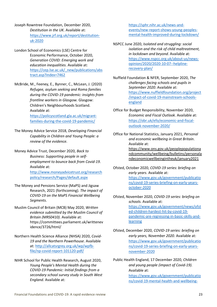Joseph Rowntree Foundation, December 2020, *Destitution in the UK*. Available at: [https://www.jrf.org.uk/report/destitution](https://www.jrf.org.uk/report/destitution-uk-2020)[uk-2020](https://www.jrf.org.uk/report/destitution-uk-2020)

London School of Economics (LSE) Centre for Economic Performance, October 2020, *Generation COVID: Emerging work and education inequalities*. Available at: [https://cep.lse.ac.uk/\\_new/publications/abs](https://cep.lse.ac.uk/_new/publications/abstract.asp?index=7462) [tract.asp?index=7462](https://cep.lse.ac.uk/_new/publications/abstract.asp?index=7462)

McBride, M., Feeney, E., Bynner, C., McLean, J. (2020) *Refugee, asylum seeking and Roma families during the COVID-19 pandemic: insights from frontline workers in Glasgow.* Glasgow: Children's Neighbourhoods Scotland. Available at: [https://policyscotland.gla.ac.uk/migrant](https://policyscotland.gla.ac.uk/migrant-families-during-the-covid-19-pandemic/)[families-during-the-covid-19-pandemic/](https://policyscotland.gla.ac.uk/migrant-families-during-the-covid-19-pandemic/)

The Money Advice Service 2018, *Developing Financial Capability in Children and Young People: a review of the evidence.*

Money Advice Trust, December 2020, *Back to Business: Supporting people in selfemployment to bounce back from Covid-19*. Available at: [http://www.moneyadvicetrust.org/research](http://www.moneyadvicetrust.org/researchpolicy/research/Pages/default.aspx) [policy/research/Pages/default.aspx](http://www.moneyadvicetrust.org/researchpolicy/research/Pages/default.aspx)

- The Money and Pensions Service (MaPS) and Jigsaw Research, 2021 (forthcoming). *The impact of COVID-19 on the MaPS Financial Wellbeing Segments*.
- Muslim Council of Britain (MCB) May 2020, *Written evidence submitted by the Muslim Council of Britain (MRS0410)*. Available at: https://committees.parliament.uk/writtenev idence/3726/html/
- Northern Health Science Alliance (NHSA) 2020, *Covid-19 and the Northern Powerhouse*. Available at[: http://allcatsrgrey.org.uk/wp/wpfb](http://allcatsrgrey.org.uk/wp/wpfb-file/np-covid-report-101120-pdf/)[file/np-covid-report-101120-pdf/](http://allcatsrgrey.org.uk/wp/wpfb-file/np-covid-report-101120-pdf/)
- NIHR School for Public Health Research, August 2020, *Young People's Mental Health during the COVID-19 Pandemic: Initial findings from a secondary school survey study in South West England.* Available at:

[https://sphr.nihr.ac.uk/news-and](https://sphr.nihr.ac.uk/news-and-events/new-report-shows-young-peoples-mental-health-improved-during-lockdown/)[events/new-report-shows-young-peoples](https://sphr.nihr.ac.uk/news-and-events/new-report-shows-young-peoples-mental-health-improved-during-lockdown/)[mental-health-improved-during-lockdown/](https://sphr.nihr.ac.uk/news-and-events/new-report-shows-young-peoples-mental-health-improved-during-lockdown/)

- NSPCC June 2020, *Isolated and struggling: social isolation and the risk of child maltreatment, in lockdown and beyond*. Available at: [https://www.nspcc.org.uk/about-us/news](https://www.nspcc.org.uk/about-us/news-opinion/2020/2020-10-07--helpline-recovery-plan/)[opinion/2020/2020-10-07--helpline](https://www.nspcc.org.uk/about-us/news-opinion/2020/2020-10-07--helpline-recovery-plan/)[recovery-plan/](https://www.nspcc.org.uk/about-us/news-opinion/2020/2020-10-07--helpline-recovery-plan/)
- Nuffield Foundation & NFER, September 2020, *The challenges facing schools and pupils in September 2020*. Available at: [https://www.nuffieldfoundation.org/project](https://www.nuffieldfoundation.org/project/impact-of-covid-19-mainstream-schools-england) [/impact-of-covid-19-mainstream-schools](https://www.nuffieldfoundation.org/project/impact-of-covid-19-mainstream-schools-england)[england](https://www.nuffieldfoundation.org/project/impact-of-covid-19-mainstream-schools-england)
- Office for Budget Responsibility, November 2020, *Economic and Fiscal Outlook*. Available at: [https://obr.uk/efo/economic-and-fiscal](https://obr.uk/efo/economic-and-fiscal-outlook-november-2020/)[outlook-november-2020/](https://obr.uk/efo/economic-and-fiscal-outlook-november-2020/)
- Office for National Statistics, January 2021, *Personal and economic wellbeing in Great Britain*. Available at: [https://www.ons.gov.uk/peoplepopulationa](https://www.ons.gov.uk/peoplepopulationandcommunity/wellbeing/bulletins/personalandeconomicwellbeingintheuk/january2021) [ndcommunity/wellbeing/bulletins/personala](https://www.ons.gov.uk/peoplepopulationandcommunity/wellbeing/bulletins/personalandeconomicwellbeingintheuk/january2021) [ndeconomicwellbeingintheuk/january2021](https://www.ons.gov.uk/peoplepopulationandcommunity/wellbeing/bulletins/personalandeconomicwellbeingintheuk/january2021)
- Ofsted, October 2020, *COVID-19 series: briefing on early years*. Available at: [https://www.gov.uk/government/publicatio](https://www.gov.uk/government/publications/covid-19-series-briefing-on-early-years-october-2020) [ns/covid-19-series-briefing-on-early-years](https://www.gov.uk/government/publications/covid-19-series-briefing-on-early-years-october-2020)[october-2020](https://www.gov.uk/government/publications/covid-19-series-briefing-on-early-years-october-2020)
- Ofsted, November 2020, *COVID-19 series: briefing on schools*. Available at: [https://www.gov.uk/government/news/ofst](https://www.gov.uk/government/news/ofsted-children-hardest-hit-by-covid-19-pandemic-are-regressing-in-basic-skills-and-learning) [ed-children-hardest-hit-by-covid-19](https://www.gov.uk/government/news/ofsted-children-hardest-hit-by-covid-19-pandemic-are-regressing-in-basic-skills-and-learning) [pandemic-are-regressing-in-basic-skills-and](https://www.gov.uk/government/news/ofsted-children-hardest-hit-by-covid-19-pandemic-are-regressing-in-basic-skills-and-learning)**[learning](https://www.gov.uk/government/news/ofsted-children-hardest-hit-by-covid-19-pandemic-are-regressing-in-basic-skills-and-learning)**
- Ofsted, December 2020, *COVID-19 series: briefing on early years, November 2020.* Available at: [https://www.gov.uk/government/publicatio](https://www.gov.uk/government/publications/covid-19-series-briefing-on-early-years-november-2020) [ns/covid-19-series-briefing-on-early-years](https://www.gov.uk/government/publications/covid-19-series-briefing-on-early-years-november-2020)[november-2020](https://www.gov.uk/government/publications/covid-19-series-briefing-on-early-years-november-2020)
- Public Health England, 17 December 2020, *Children and young people (impact of Covid-19).* Available at: [https://www.gov.uk/government/publicatio](https://www.gov.uk/government/publications/covid-19-mental-health-and-wellbeing-surveillance-report/7-children-and-young-people) [ns/covid-19-mental-health-and-wellbeing-](https://www.gov.uk/government/publications/covid-19-mental-health-and-wellbeing-surveillance-report/7-children-and-young-people)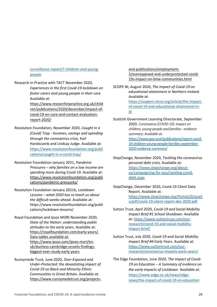#### [surveillance-report/7-children-and-young](https://www.gov.uk/government/publications/covid-19-mental-health-and-wellbeing-surveillance-report/7-children-and-young-people)[people](https://www.gov.uk/government/publications/covid-19-mental-health-and-wellbeing-surveillance-report/7-children-and-young-people)

Research in Practice with TACT November 2020,

*Experiences in the first Covid-19 lockdown on foster carers and young people in their care.* Available at:

[https://www.researchinpractice.org.uk/child](https://www.researchinpractice.org.uk/children/publications/2020/december/impact-of-covid-19-on-care-and-contact-evaluation-report-2020/) [ren/publications/2020/december/impact-of](https://www.researchinpractice.org.uk/children/publications/2020/december/impact-of-covid-19-on-care-and-contact-evaluation-report-2020/)[covid-19-on-care-and-contact-evaluation](https://www.researchinpractice.org.uk/children/publications/2020/december/impact-of-covid-19-on-care-and-contact-evaluation-report-2020/)[report-2020/](https://www.researchinpractice.org.uk/children/publications/2020/december/impact-of-covid-19-on-care-and-contact-evaluation-report-2020/)

- Resolution Foundation, November 2020, *Caught in a (Covid) Trap - Incomes, savings and spending through the coronavirus crisis,* Karl Handscomb and Lindsay Judge. Available at: [https://www.resolutionfoundation.org/publi](https://www.resolutionfoundation.org/publications/caught-in-a-covid-trap/) [cations/caught-in-a-covid-trap/](https://www.resolutionfoundation.org/publications/caught-in-a-covid-trap/)
- Resolution Foundation January 2021, *Pandemic Pressures – why families on a low income are spending more during Covid-19.* Available at: [https://www.resolutionfoundation.org/publi](https://www.resolutionfoundation.org/publications/pandemic-pressures/) [cations/pandemic-pressures/](https://www.resolutionfoundation.org/publications/pandemic-pressures/)
- Resolution Foundation January 2021b, *Lockdown Lessons – what 2020 has to teach us about the difficult weeks ahead.* Available at: https://www.resolutionfoundation.org/publi cations/lockdown-lessons/

Royal Foundation and Ipsos MORI November 2020, *State of the Nation: understanding public attitudes to the early years*. Available at: [https://royalfoundation.com/early-years/.](https://royalfoundation.com/early-years/) Data tables available at: https://www.ipsos.com/ipsos-mori/enuk/duchess-cambridge-unveils-findingsbiggest-ever-study-early-years

Runnymede Trust, June 2020, *Over-Exposed and Under-Protected: the devastating impact of Covid-19 on Black and Minority Ethnic Communities in Great Britain*. Available at: [https://www.runnymedetrust.org/projects-](https://www.runnymedetrust.org/projects-and-publications/employment-3/overexposed-and-underprotected-covid-19s-impact-on-bme-communities.html) [and-publications/employment-](https://www.runnymedetrust.org/projects-and-publications/employment-3/overexposed-and-underprotected-covid-19s-impact-on-bme-communities.html)[3/overexposed-and-underprotected-covid-](https://www.runnymedetrust.org/projects-and-publications/employment-3/overexposed-and-underprotected-covid-19s-impact-on-bme-communities.html)[19s-impact-on-bme-communities.html](https://www.runnymedetrust.org/projects-and-publications/employment-3/overexposed-and-underprotected-covid-19s-impact-on-bme-communities.html)

SCOPE NI, August 2020, *The impact of Covid-19 on educational attainment in Northern Ireland.* Available at: [https://scopeni.nicva.org/article/the-impact](https://scopeni.nicva.org/article/the-impact-of-covid-19-and-educational-attainment-in-ni)[of-covid-19-and-educational-attainment-in](https://scopeni.nicva.org/article/the-impact-of-covid-19-and-educational-attainment-in-ni)[ni](https://scopeni.nicva.org/article/the-impact-of-covid-19-and-educational-attainment-in-ni)

- Scottish Government Learning Directorate, September 2020, *Coronavirus (COVID-19): impact on children, young people and families - evidence summary*. Available at: [https://www.gov.scot/publications/report-covid-](https://www.gov.scot/publications/report-covid-19-children-young-people-families-september-2020-evidence-summary/)[19-children-young-people-families-september-](https://www.gov.scot/publications/report-covid-19-children-young-people-families-september-2020-evidence-summary/)[2020-evidence-summary/](https://www.gov.scot/publications/report-covid-19-children-young-people-families-september-2020-evidence-summary/)
- StepChange, November 2020, *Tackling the coronavirus personal debt crisis.* Available at: [https://www.stepchange.org/about](https://www.stepchange.org/about-us/campaigning-for-you/tackling-covid-debt.aspx)[us/campaigning-for-you/tackling-covid](https://www.stepchange.org/about-us/campaigning-for-you/tackling-covid-debt.aspx)[debt.aspx](https://www.stepchange.org/about-us/campaigning-for-you/tackling-covid-debt.aspx)
- StepChange, December 2020, Covid-19 Client Data Report. Available at: [https://www.stepchange.org/Portals/0/asset](https://www.stepchange.org/Portals/0/assets/pdf/covid-19-client-report-dec-2020.pdf) [s/pdf/covid-19-client-report-dec-2020.pdf](https://www.stepchange.org/Portals/0/assets/pdf/covid-19-client-report-dec-2020.pdf)
- Sutton Trust, April 2020, *Covid-19 and Social Mobility Impact Brief #1 School Shutdown*. Available at[: https://www.suttontrust.com/our](https://www.suttontrust.com/our-research/covid-19-and-social-mobility-impact-brief/)[research/covid-19-and-social-mobility](https://www.suttontrust.com/our-research/covid-19-and-social-mobility-impact-brief/)[impact-brief/](https://www.suttontrust.com/our-research/covid-19-and-social-mobility-impact-brief/)

Sutton Trust, July 2020, *Covid-19 and Social Mobility Impact Brief #4 Early Years.* Available at: [https://www.suttontrust.com/our](https://www.suttontrust.com/our-research/coronavirus-impacts-early-years/)[research/coronavirus-impacts-early-years/](https://www.suttontrust.com/our-research/coronavirus-impacts-early-years/)

The Edge Foundation, June 2020, *The Impact of Covid-19 on Education – A Summary of evidence on the early impacts of Lockdown*. Available at: [https://www.edge.co.uk/news/edge](https://www.edge.co.uk/news/edge-news/the-impact-of-covid-19-on-education)[news/the-impact-of-covid-19-on-education](https://www.edge.co.uk/news/edge-news/the-impact-of-covid-19-on-education)